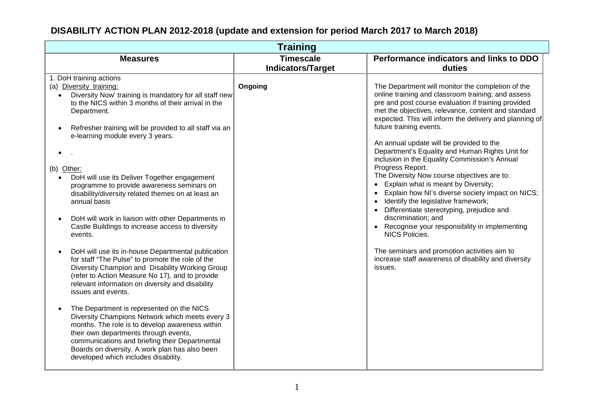| <b>Training</b>                                                                                                                                                                                                                                                                                                                      |                          |                                                                                                                                                                                                                                                                                                             |
|--------------------------------------------------------------------------------------------------------------------------------------------------------------------------------------------------------------------------------------------------------------------------------------------------------------------------------------|--------------------------|-------------------------------------------------------------------------------------------------------------------------------------------------------------------------------------------------------------------------------------------------------------------------------------------------------------|
| <b>Measures</b>                                                                                                                                                                                                                                                                                                                      | <b>Timescale</b>         | Performance indicators and links to DDO                                                                                                                                                                                                                                                                     |
|                                                                                                                                                                                                                                                                                                                                      | <b>Indicators/Target</b> | duties                                                                                                                                                                                                                                                                                                      |
| 1. DoH training actions                                                                                                                                                                                                                                                                                                              |                          |                                                                                                                                                                                                                                                                                                             |
| (a) Diversity training:<br>Diversity Now' training is mandatory for all staff new<br>$\bullet$<br>to the NICS within 3 months of their arrival in the<br>Department.<br>Refresher training will be provided to all staff via an<br>e-learning module every 3 years.                                                                  | Ongoing                  | The Department will monitor the completion of the<br>online training and classroom training; and assess<br>pre and post course evaluation if training provided<br>met the objectives, relevance, content and standard<br>expected. This will inform the delivery and planning of<br>future training events. |
|                                                                                                                                                                                                                                                                                                                                      |                          | An annual update will be provided to the<br>Department's Equality and Human Rights Unit for<br>inclusion in the Equality Commission's Annual<br>Progress Report.                                                                                                                                            |
| (b) Other:<br>DoH will use its Deliver Together engagement                                                                                                                                                                                                                                                                           |                          | The Diversity Now course objectives are to:                                                                                                                                                                                                                                                                 |
| programme to provide awareness seminars on                                                                                                                                                                                                                                                                                           |                          | Explain what is meant by Diversity;<br>$\bullet$                                                                                                                                                                                                                                                            |
| disability/diversity related themes on at least an<br>annual basis                                                                                                                                                                                                                                                                   |                          | Explain how NI's diverse society impact on NICS;<br>$\bullet$<br>Identify the legislative framework;<br>$\bullet$<br>Differentiate stereotyping, prejudice and<br>$\bullet$                                                                                                                                 |
| DoH will work in liaison with other Departments in<br>Castle Buildings to increase access to diversity<br>events.                                                                                                                                                                                                                    |                          | discrimination; and<br>• Recognise your responsibility in implementing<br><b>NICS Policies.</b>                                                                                                                                                                                                             |
| DoH will use its in-house Departmental publication<br>for staff "The Pulse" to promote the role of the<br>Diversity Champion and Disability Working Group<br>(refer to Action Measure No 17), and to provide<br>relevant information on diversity and disability<br>issues and events.                                               |                          | The seminars and promotion activities aim to<br>increase staff awareness of disability and diversity<br>issues.                                                                                                                                                                                             |
| The Department is represented on the NICS<br>Diversity Champions Network which meets every 3<br>months. The role is to develop awareness within<br>their own departments through events,<br>communications and briefing their Departmental<br>Boards on diversity. A work plan has also been<br>developed which includes disability. |                          |                                                                                                                                                                                                                                                                                                             |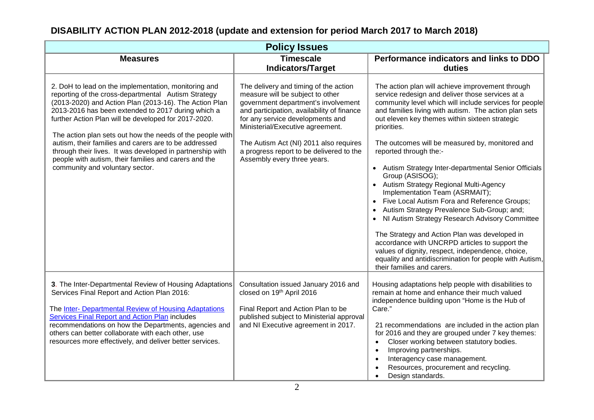| <b>Policy Issues</b>                                                                                                                                                                                                                                                                                                                                                                                                                                                                                                                                               |                                                                                                                                                                                                                                                                                                                                                             |                                                                                                                                                                                                                                                                                                                                                                                                                                                                                                                                                                                                                                                                                                                                                                                                                                                                                                                             |
|--------------------------------------------------------------------------------------------------------------------------------------------------------------------------------------------------------------------------------------------------------------------------------------------------------------------------------------------------------------------------------------------------------------------------------------------------------------------------------------------------------------------------------------------------------------------|-------------------------------------------------------------------------------------------------------------------------------------------------------------------------------------------------------------------------------------------------------------------------------------------------------------------------------------------------------------|-----------------------------------------------------------------------------------------------------------------------------------------------------------------------------------------------------------------------------------------------------------------------------------------------------------------------------------------------------------------------------------------------------------------------------------------------------------------------------------------------------------------------------------------------------------------------------------------------------------------------------------------------------------------------------------------------------------------------------------------------------------------------------------------------------------------------------------------------------------------------------------------------------------------------------|
| <b>Measures</b>                                                                                                                                                                                                                                                                                                                                                                                                                                                                                                                                                    | <b>Timescale</b><br><b>Indicators/Target</b>                                                                                                                                                                                                                                                                                                                | Performance indicators and links to DDO<br>duties                                                                                                                                                                                                                                                                                                                                                                                                                                                                                                                                                                                                                                                                                                                                                                                                                                                                           |
| 2. DoH to lead on the implementation, monitoring and<br>reporting of the cross-departmental Autism Strategy<br>(2013-2020) and Action Plan (2013-16). The Action Plan<br>2013-2016 has been extended to 2017 during which a<br>further Action Plan will be developed for 2017-2020.<br>The action plan sets out how the needs of the people with<br>autism, their families and carers are to be addressed<br>through their lives. It was developed in partnership with<br>people with autism, their families and carers and the<br>community and voluntary sector. | The delivery and timing of the action<br>measure will be subject to other<br>government department's involvement<br>and participation, availability of finance<br>for any service developments and<br>Ministerial/Executive agreement.<br>The Autism Act (NI) 2011 also requires<br>a progress report to be delivered to the<br>Assembly every three years. | The action plan will achieve improvement through<br>service redesign and deliver those services at a<br>community level which will include services for people<br>and families living with autism. The action plan sets<br>out eleven key themes within sixteen strategic<br>priorities.<br>The outcomes will be measured by, monitored and<br>reported through the:-<br>Autism Strategy Inter-departmental Senior Officials<br>Group (ASISOG);<br>Autism Strategy Regional Multi-Agency<br>Implementation Team (ASRMAIT);<br>Five Local Autism Fora and Reference Groups;<br>Autism Strategy Prevalence Sub-Group; and;<br>NI Autism Strategy Research Advisory Committee<br>The Strategy and Action Plan was developed in<br>accordance with UNCRPD articles to support the<br>values of dignity, respect, independence, choice,<br>equality and antidiscrimination for people with Autism,<br>their families and carers. |
| 3. The Inter-Departmental Review of Housing Adaptations<br>Services Final Report and Action Plan 2016:<br>The Inter- Departmental Review of Housing Adaptations<br>Services Final Report and Action Plan includes<br>recommendations on how the Departments, agencies and<br>others can better collaborate with each other, use<br>resources more effectively, and deliver better services.                                                                                                                                                                        | Consultation issued January 2016 and<br>closed on 19th April 2016<br>Final Report and Action Plan to be<br>published subject to Ministerial approval<br>and NI Executive agreement in 2017.                                                                                                                                                                 | Housing adaptations help people with disabilities to<br>remain at home and enhance their much valued<br>independence building upon "Home is the Hub of<br>Care."<br>21 recommendations are included in the action plan<br>for 2016 and they are grouped under 7 key themes:<br>Closer working between statutory bodies.<br>$\bullet$<br>Improving partnerships.<br>$\bullet$<br>Interagency case management.<br>$\bullet$<br>Resources, procurement and recycling.<br>$\bullet$<br>Design standards.                                                                                                                                                                                                                                                                                                                                                                                                                        |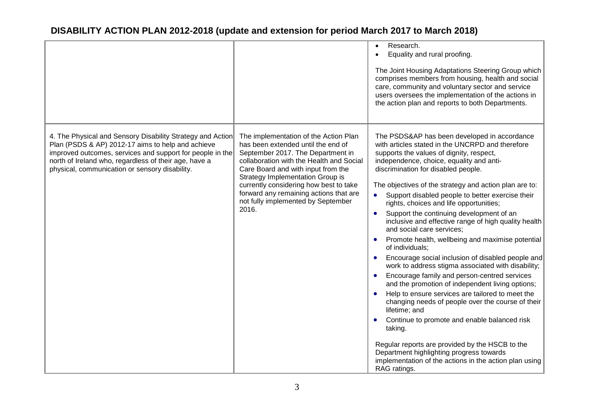|                                                                                                                                                                                                                                                                                         |                                                                                                                                                                                                                                                                                                                                                                           | Research.<br>$\bullet$<br>Equality and rural proofing.<br>The Joint Housing Adaptations Steering Group which<br>comprises members from housing, health and social<br>care, community and voluntary sector and service<br>users oversees the implementation of the actions in<br>the action plan and reports to both Departments.                                                                                                                                                                                                                                                                                                                                                                                                                                                                                                                                                                                                                                                                                                                                                                                                                                                                                                  |
|-----------------------------------------------------------------------------------------------------------------------------------------------------------------------------------------------------------------------------------------------------------------------------------------|---------------------------------------------------------------------------------------------------------------------------------------------------------------------------------------------------------------------------------------------------------------------------------------------------------------------------------------------------------------------------|-----------------------------------------------------------------------------------------------------------------------------------------------------------------------------------------------------------------------------------------------------------------------------------------------------------------------------------------------------------------------------------------------------------------------------------------------------------------------------------------------------------------------------------------------------------------------------------------------------------------------------------------------------------------------------------------------------------------------------------------------------------------------------------------------------------------------------------------------------------------------------------------------------------------------------------------------------------------------------------------------------------------------------------------------------------------------------------------------------------------------------------------------------------------------------------------------------------------------------------|
| 4. The Physical and Sensory Disability Strategy and Action<br>Plan (PSDS & AP) 2012-17 aims to help and achieve<br>improved outcomes, services and support for people in the<br>north of Ireland who, regardless of their age, have a<br>physical, communication or sensory disability. | The implementation of the Action Plan<br>has been extended until the end of<br>September 2017. The Department in<br>collaboration with the Health and Social<br>Care Board and with input from the<br>Strategy Implementation Group is<br>currently considering how best to take<br>forward any remaining actions that are<br>not fully implemented by September<br>2016. | The PSDS&AP has been developed in accordance<br>with articles stated in the UNCRPD and therefore<br>supports the values of dignity, respect,<br>independence, choice, equality and anti-<br>discrimination for disabled people.<br>The objectives of the strategy and action plan are to:<br>Support disabled people to better exercise their<br>$\bullet$<br>rights, choices and life opportunities;<br>Support the continuing development of an<br>$\bullet$<br>inclusive and effective range of high quality health<br>and social care services;<br>Promote health, wellbeing and maximise potential<br>of individuals;<br>Encourage social inclusion of disabled people and<br>$\bullet$<br>work to address stigma associated with disability;<br>Encourage family and person-centred services<br>$\bullet$<br>and the promotion of independent living options;<br>Help to ensure services are tailored to meet the<br>changing needs of people over the course of their<br>lifetime; and<br>Continue to promote and enable balanced risk<br>taking.<br>Regular reports are provided by the HSCB to the<br>Department highlighting progress towards<br>implementation of the actions in the action plan using<br>RAG ratings. |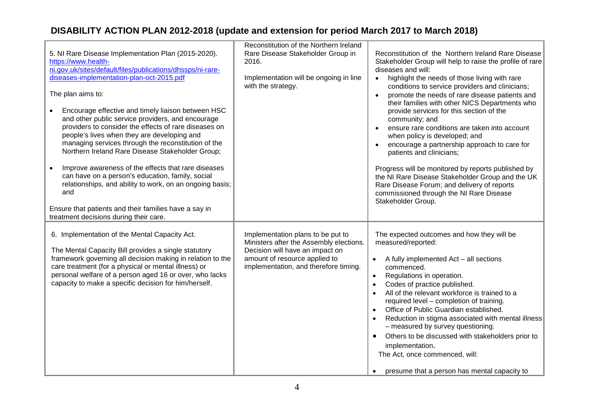| 5. NI Rare Disease Implementation Plan (2015-2020).<br>https://www.health-<br>ni.gov.uk/sites/default/files/publications/dhssps/ni-rare-<br>diseases-implementation-plan-oct-2015.pdf<br>The plan aims to:<br>Encourage effective and timely liaison between HSC<br>and other public service providers, and encourage<br>providers to consider the effects of rare diseases on<br>people's lives when they are developing and<br>managing services through the reconstitution of the<br>Northern Ireland Rare Disease Stakeholder Group;<br>Improve awareness of the effects that rare diseases<br>$\bullet$<br>can have on a person's education, family, social<br>relationships, and ability to work, on an ongoing basis;<br>and<br>Ensure that patients and their families have a say in<br>treatment decisions during their care. | Reconstitution of the Northern Ireland<br>Rare Disease Stakeholder Group in<br>2016.<br>Implementation will be ongoing in line<br>with the strategy.                                      | Reconstitution of the Northern Ireland Rare Disease<br>Stakeholder Group will help to raise the profile of rare<br>diseases and will:<br>highlight the needs of those living with rare<br>$\bullet$<br>conditions to service providers and clinicians;<br>promote the needs of rare disease patients and<br>their families with other NICS Departments who<br>provide services for this section of the<br>community; and<br>ensure rare conditions are taken into account<br>when policy is developed; and<br>encourage a partnership approach to care for<br>patients and clinicians;<br>Progress will be monitored by reports published by<br>the NI Rare Disease Stakeholder Group and the UK<br>Rare Disease Forum; and delivery of reports<br>commissioned through the NI Rare Disease<br>Stakeholder Group. |
|----------------------------------------------------------------------------------------------------------------------------------------------------------------------------------------------------------------------------------------------------------------------------------------------------------------------------------------------------------------------------------------------------------------------------------------------------------------------------------------------------------------------------------------------------------------------------------------------------------------------------------------------------------------------------------------------------------------------------------------------------------------------------------------------------------------------------------------|-------------------------------------------------------------------------------------------------------------------------------------------------------------------------------------------|-------------------------------------------------------------------------------------------------------------------------------------------------------------------------------------------------------------------------------------------------------------------------------------------------------------------------------------------------------------------------------------------------------------------------------------------------------------------------------------------------------------------------------------------------------------------------------------------------------------------------------------------------------------------------------------------------------------------------------------------------------------------------------------------------------------------|
| 6. Implementation of the Mental Capacity Act.<br>The Mental Capacity Bill provides a single statutory<br>framework governing all decision making in relation to the<br>care treatment (for a physical or mental illness) or<br>personal welfare of a person aged 16 or over, who lacks<br>capacity to make a specific decision for him/herself.                                                                                                                                                                                                                                                                                                                                                                                                                                                                                        | Implementation plans to be put to<br>Ministers after the Assembly elections.<br>Decision will have an impact on<br>amount of resource applied to<br>implementation, and therefore timing. | The expected outcomes and how they will be<br>measured/reported:<br>A fully implemented Act - all sections<br>$\bullet$<br>commenced.<br>Regulations in operation.<br>$\bullet$<br>Codes of practice published.<br>$\bullet$<br>All of the relevant workforce is trained to a<br>$\bullet$<br>required level - completion of training.<br>Office of Public Guardian established.<br>Reduction in stigma associated with mental illness<br>- measured by survey questioning.<br>Others to be discussed with stakeholders prior to<br>implementation.<br>The Act, once commenced, will:<br>• presume that a person has mental capacity to                                                                                                                                                                           |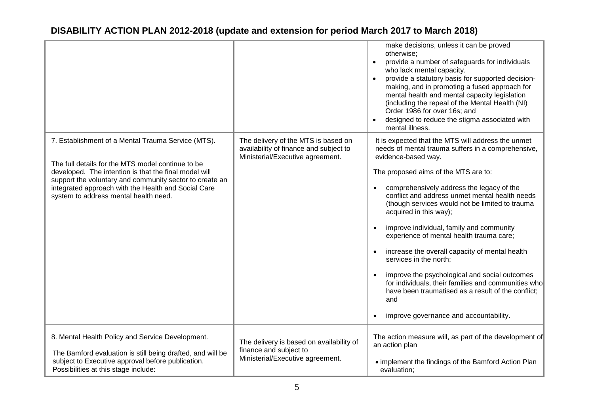|                                                                                                                                                                                                                                                                                                                             |                                                                                                                   | make decisions, unless it can be proved<br>otherwise:<br>provide a number of safeguards for individuals<br>who lack mental capacity.<br>provide a statutory basis for supported decision-<br>$\bullet$<br>making, and in promoting a fused approach for<br>mental health and mental capacity legislation<br>(including the repeal of the Mental Health (NI)<br>Order 1986 for over 16s; and<br>designed to reduce the stigma associated with<br>mental illness.                                                                                                                                                                                                                                                                                                               |
|-----------------------------------------------------------------------------------------------------------------------------------------------------------------------------------------------------------------------------------------------------------------------------------------------------------------------------|-------------------------------------------------------------------------------------------------------------------|-------------------------------------------------------------------------------------------------------------------------------------------------------------------------------------------------------------------------------------------------------------------------------------------------------------------------------------------------------------------------------------------------------------------------------------------------------------------------------------------------------------------------------------------------------------------------------------------------------------------------------------------------------------------------------------------------------------------------------------------------------------------------------|
| 7. Establishment of a Mental Trauma Service (MTS).<br>The full details for the MTS model continue to be<br>developed. The intention is that the final model will<br>support the voluntary and community sector to create an<br>integrated approach with the Health and Social Care<br>system to address mental health need. | The delivery of the MTS is based on<br>availability of finance and subject to<br>Ministerial/Executive agreement. | It is expected that the MTS will address the unmet<br>needs of mental trauma suffers in a comprehensive,<br>evidence-based way.<br>The proposed aims of the MTS are to:<br>comprehensively address the legacy of the<br>conflict and address unmet mental health needs<br>(though services would not be limited to trauma<br>acquired in this way);<br>improve individual, family and community<br>$\bullet$<br>experience of mental health trauma care;<br>increase the overall capacity of mental health<br>$\bullet$<br>services in the north;<br>improve the psychological and social outcomes<br>$\bullet$<br>for individuals, their families and communities who<br>have been traumatised as a result of the conflict;<br>and<br>improve governance and accountability. |
| 8. Mental Health Policy and Service Development.<br>The Bamford evaluation is still being drafted, and will be<br>subject to Executive approval before publication.<br>Possibilities at this stage include:                                                                                                                 | The delivery is based on availability of<br>finance and subject to<br>Ministerial/Executive agreement.            | The action measure will, as part of the development of<br>an action plan<br>• implement the findings of the Bamford Action Plan<br>evaluation;                                                                                                                                                                                                                                                                                                                                                                                                                                                                                                                                                                                                                                |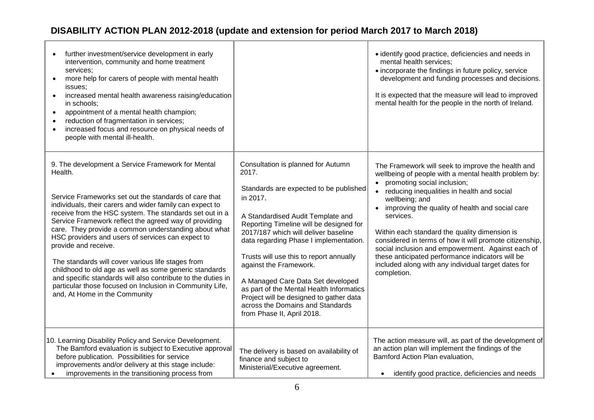| further investment/service development in early<br>intervention, community and home treatment<br>services;<br>more help for carers of people with mental health<br>$\bullet$<br>issues;<br>increased mental health awareness raising/education<br>$\bullet$<br>in schools;<br>appointment of a mental health champion;<br>$\bullet$<br>reduction of fragmentation in services;<br>increased focus and resource on physical needs of<br>$\bullet$<br>people with mental ill-health.                                                                                                                                                                                                                                     |                                                                                                                                                                                                                                                                                                                                                                                                                                                                                                                                        | · identify good practice, deficiencies and needs in<br>mental health services;<br>• incorporate the findings in future policy, service<br>development and funding processes and decisions.<br>It is expected that the measure will lead to improved<br>mental health for the people in the north of Ireland.                                                                                                                                                                                                                                                        |
|------------------------------------------------------------------------------------------------------------------------------------------------------------------------------------------------------------------------------------------------------------------------------------------------------------------------------------------------------------------------------------------------------------------------------------------------------------------------------------------------------------------------------------------------------------------------------------------------------------------------------------------------------------------------------------------------------------------------|----------------------------------------------------------------------------------------------------------------------------------------------------------------------------------------------------------------------------------------------------------------------------------------------------------------------------------------------------------------------------------------------------------------------------------------------------------------------------------------------------------------------------------------|---------------------------------------------------------------------------------------------------------------------------------------------------------------------------------------------------------------------------------------------------------------------------------------------------------------------------------------------------------------------------------------------------------------------------------------------------------------------------------------------------------------------------------------------------------------------|
| 9. The development a Service Framework for Mental<br>Health.<br>Service Frameworks set out the standards of care that<br>individuals, their carers and wider family can expect to<br>receive from the HSC system. The standards set out in a<br>Service Framework reflect the agreed way of providing<br>care. They provide a common understanding about what<br>HSC providers and users of services can expect to<br>provide and receive.<br>The standards will cover various life stages from<br>childhood to old age as well as some generic standards<br>and specific standards will also contribute to the duties in<br>particular those focused on Inclusion in Community Life,<br>and, At Home in the Community | Consultation is planned for Autumn<br>2017.<br>Standards are expected to be published<br>in 2017.<br>A Standardised Audit Template and<br>Reporting Timeline will be designed for<br>2017/187 which will deliver baseline<br>data regarding Phase I implementation.<br>Trusts will use this to report annually<br>against the Framework.<br>A Managed Care Data Set developed<br>as part of the Mental Health Informatics<br>Project will be designed to gather data<br>across the Domains and Standards<br>from Phase II, April 2018. | The Framework will seek to improve the health and<br>wellbeing of people with a mental health problem by:<br>promoting social inclusion;<br>reducing inequalities in health and social<br>wellbeing; and<br>improving the quality of health and social care<br>services.<br>Within each standard the quality dimension is<br>considered in terms of how it will promote citizenship,<br>social inclusion and empowerment. Against each of<br>these anticipated performance indicators will be<br>included along with any individual target dates for<br>completion. |
| 10. Learning Disability Policy and Service Development.<br>The Bamford evaluation is subject to Executive approval<br>before publication. Possibilities for service<br>improvements and/or delivery at this stage include:<br>improvements in the transitioning process from                                                                                                                                                                                                                                                                                                                                                                                                                                           | The delivery is based on availability of<br>finance and subject to<br>Ministerial/Executive agreement.                                                                                                                                                                                                                                                                                                                                                                                                                                 | The action measure will, as part of the development of<br>an action plan will implement the findings of the<br>Bamford Action Plan evaluation,<br>identify good practice, deficiencies and needs<br>$\bullet$                                                                                                                                                                                                                                                                                                                                                       |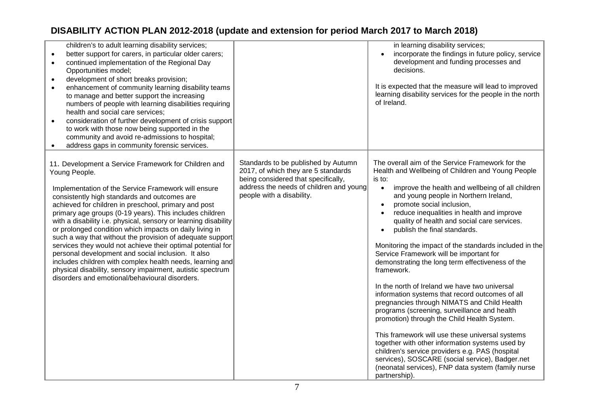| children's to adult learning disability services;<br>better support for carers, in particular older carers;<br>$\bullet$<br>continued implementation of the Regional Day<br>Opportunities model;<br>development of short breaks provision;<br>enhancement of community learning disability teams<br>to manage and better support the increasing<br>numbers of people with learning disabilities requiring<br>health and social care services;<br>consideration of further development of crisis support<br>to work with those now being supported in the<br>community and avoid re-admissions to hospital;<br>address gaps in community forensic services.                                                                                                                                   |                                                                                                                                                                                           | in learning disability services;<br>incorporate the findings in future policy, service<br>development and funding processes and<br>decisions.<br>It is expected that the measure will lead to improved<br>learning disability services for the people in the north<br>of Ireland.                                                                                                                                                                                                                                                                                                                                                                                                                                                                                                                                                                                                                                                                                                                                                                                                              |
|----------------------------------------------------------------------------------------------------------------------------------------------------------------------------------------------------------------------------------------------------------------------------------------------------------------------------------------------------------------------------------------------------------------------------------------------------------------------------------------------------------------------------------------------------------------------------------------------------------------------------------------------------------------------------------------------------------------------------------------------------------------------------------------------|-------------------------------------------------------------------------------------------------------------------------------------------------------------------------------------------|------------------------------------------------------------------------------------------------------------------------------------------------------------------------------------------------------------------------------------------------------------------------------------------------------------------------------------------------------------------------------------------------------------------------------------------------------------------------------------------------------------------------------------------------------------------------------------------------------------------------------------------------------------------------------------------------------------------------------------------------------------------------------------------------------------------------------------------------------------------------------------------------------------------------------------------------------------------------------------------------------------------------------------------------------------------------------------------------|
| 11. Development a Service Framework for Children and<br>Young People.<br>Implementation of the Service Framework will ensure<br>consistently high standards and outcomes are<br>achieved for children in preschool, primary and post<br>primary age groups (0-19 years). This includes children<br>with a disability i.e. physical, sensory or learning disability<br>or prolonged condition which impacts on daily living in<br>such a way that without the provision of adequate support<br>services they would not achieve their optimal potential for<br>personal development and social inclusion. It also<br>includes children with complex health needs, learning and<br>physical disability, sensory impairment, autistic spectrum<br>disorders and emotional/behavioural disorders. | Standards to be published by Autumn<br>2017, of which they are 5 standards<br>being considered that specifically,<br>address the needs of children and young<br>people with a disability. | The overall aim of the Service Framework for the<br>Health and Wellbeing of Children and Young People<br>is to:<br>improve the health and wellbeing of all children<br>$\bullet$<br>and young people in Northern Ireland,<br>promote social inclusion,<br>reduce inequalities in health and improve<br>quality of health and social care services.<br>publish the final standards.<br>Monitoring the impact of the standards included in the<br>Service Framework will be important for<br>demonstrating the long term effectiveness of the<br>framework.<br>In the north of Ireland we have two universal<br>information systems that record outcomes of all<br>pregnancies through NIMATS and Child Health<br>programs (screening, surveillance and health<br>promotion) through the Child Health System.<br>This framework will use these universal systems<br>together with other information systems used by<br>children's service providers e.g. PAS (hospital<br>services), SOSCARE (social service), Badger.net<br>(neonatal services), FNP data system (family nurse<br>partnership). |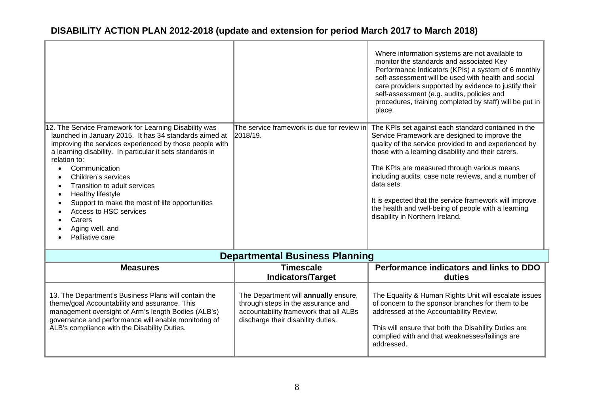| 12. The Service Framework for Learning Disability was<br>launched in January 2015. It has 34 standards aimed at<br>improving the services experienced by those people with<br>a learning disability. In particular it sets standards in<br>relation to:<br>Communication<br>Children's services<br>Transition to adult services<br>Healthy lifestyle<br>Support to make the most of life opportunities<br>Access to HSC services<br>Carers<br>Aging well, and<br>Palliative care | The service framework is due for review in<br>2018/19.                                                                                                     | Where information systems are not available to<br>monitor the standards and associated Key<br>Performance Indicators (KPIs) a system of 6 monthly<br>self-assessment will be used with health and social<br>care providers supported by evidence to justify their<br>self-assessment (e.g. audits, policies and<br>procedures, training completed by staff) will be put in<br>place.<br>The KPIs set against each standard contained in the<br>Service Framework are designed to improve the<br>quality of the service provided to and experienced by<br>those with a learning disability and their carers.<br>The KPIs are measured through various means<br>including audits, case note reviews, and a number of<br>data sets.<br>It is expected that the service framework will improve<br>the health and well-being of people with a learning<br>disability in Northern Ireland. |
|----------------------------------------------------------------------------------------------------------------------------------------------------------------------------------------------------------------------------------------------------------------------------------------------------------------------------------------------------------------------------------------------------------------------------------------------------------------------------------|------------------------------------------------------------------------------------------------------------------------------------------------------------|--------------------------------------------------------------------------------------------------------------------------------------------------------------------------------------------------------------------------------------------------------------------------------------------------------------------------------------------------------------------------------------------------------------------------------------------------------------------------------------------------------------------------------------------------------------------------------------------------------------------------------------------------------------------------------------------------------------------------------------------------------------------------------------------------------------------------------------------------------------------------------------|
|                                                                                                                                                                                                                                                                                                                                                                                                                                                                                  | <b>Departmental Business Planning</b>                                                                                                                      |                                                                                                                                                                                                                                                                                                                                                                                                                                                                                                                                                                                                                                                                                                                                                                                                                                                                                      |
| <b>Measures</b>                                                                                                                                                                                                                                                                                                                                                                                                                                                                  | <b>Timescale</b>                                                                                                                                           | Performance indicators and links to DDO                                                                                                                                                                                                                                                                                                                                                                                                                                                                                                                                                                                                                                                                                                                                                                                                                                              |
|                                                                                                                                                                                                                                                                                                                                                                                                                                                                                  | <b>Indicators/Target</b>                                                                                                                                   | duties                                                                                                                                                                                                                                                                                                                                                                                                                                                                                                                                                                                                                                                                                                                                                                                                                                                                               |
| 13. The Department's Business Plans will contain the<br>theme/goal Accountability and assurance. This<br>management oversight of Arm's length Bodies (ALB's)<br>governance and performance will enable monitoring of<br>ALB's compliance with the Disability Duties.                                                                                                                                                                                                             | The Department will annually ensure,<br>through steps in the assurance and<br>accountability framework that all ALBs<br>discharge their disability duties. | The Equality & Human Rights Unit will escalate issues<br>of concern to the sponsor branches for them to be<br>addressed at the Accountability Review.<br>This will ensure that both the Disability Duties are<br>complied with and that weaknesses/failings are<br>addressed.                                                                                                                                                                                                                                                                                                                                                                                                                                                                                                                                                                                                        |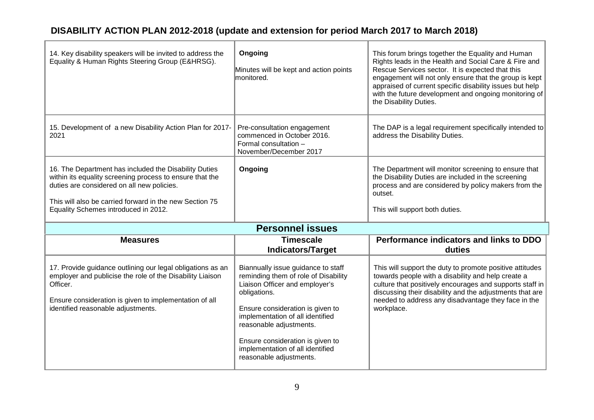| 14. Key disability speakers will be invited to address the<br>Equality & Human Rights Steering Group (E&HRSG).                                                                                                                                                     | Ongoing<br>Minutes will be kept and action points<br>lmonitored.                                                                                                                                                                                                                                                                   | This forum brings together the Equality and Human<br>Rights leads in the Health and Social Care & Fire and<br>Rescue Services sector. It is expected that this<br>engagement will not only ensure that the group is kept<br>appraised of current specific disability issues but help<br>with the future development and ongoing monitoring of<br>the Disability Duties. |
|--------------------------------------------------------------------------------------------------------------------------------------------------------------------------------------------------------------------------------------------------------------------|------------------------------------------------------------------------------------------------------------------------------------------------------------------------------------------------------------------------------------------------------------------------------------------------------------------------------------|-------------------------------------------------------------------------------------------------------------------------------------------------------------------------------------------------------------------------------------------------------------------------------------------------------------------------------------------------------------------------|
| 15. Development of a new Disability Action Plan for 2017-<br>2021                                                                                                                                                                                                  | Pre-consultation engagement<br>commenced in October 2016.<br>Formal consultation -<br>November/December 2017                                                                                                                                                                                                                       | The DAP is a legal requirement specifically intended to<br>address the Disability Duties.                                                                                                                                                                                                                                                                               |
| 16. The Department has included the Disability Duties<br>within its equality screening process to ensure that the<br>duties are considered on all new policies.<br>This will also be carried forward in the new Section 75<br>Equality Schemes introduced in 2012. | Ongoing                                                                                                                                                                                                                                                                                                                            | The Department will monitor screening to ensure that<br>the Disability Duties are included in the screening<br>process and are considered by policy makers from the<br>outset.<br>This will support both duties.                                                                                                                                                        |
|                                                                                                                                                                                                                                                                    | <b>Personnel issues</b>                                                                                                                                                                                                                                                                                                            |                                                                                                                                                                                                                                                                                                                                                                         |
| <b>Measures</b>                                                                                                                                                                                                                                                    | <b>Timescale</b><br><b>Indicators/Target</b>                                                                                                                                                                                                                                                                                       | Performance indicators and links to DDO<br>duties                                                                                                                                                                                                                                                                                                                       |
| 17. Provide guidance outlining our legal obligations as an<br>employer and publicise the role of the Disability Liaison<br>Officer.<br>Ensure consideration is given to implementation of all<br>identified reasonable adjustments.                                | Biannually issue guidance to staff<br>reminding them of role of Disability<br>Liaison Officer and employer's<br>obligations.<br>Ensure consideration is given to<br>implementation of all identified<br>reasonable adjustments.<br>Ensure consideration is given to<br>implementation of all identified<br>reasonable adjustments. | This will support the duty to promote positive attitudes<br>towards people with a disability and help create a<br>culture that positively encourages and supports staff in<br>discussing their disability and the adjustments that are<br>needed to address any disadvantage they face in the<br>workplace.                                                             |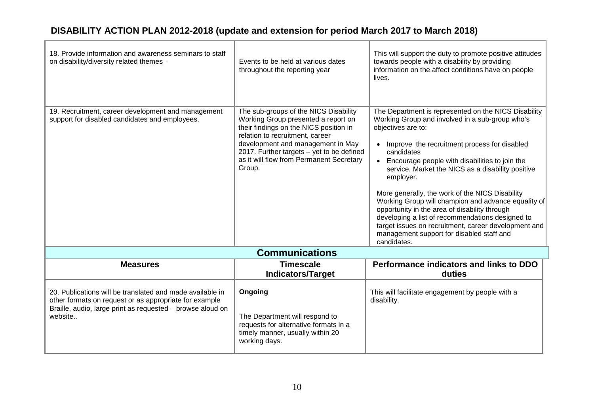| 18. Provide information and awareness seminars to staff<br>on disability/diversity related themes-                                                                                           | Events to be held at various dates<br>throughout the reporting year                                                                                                                                                                                                                               | This will support the duty to promote positive attitudes<br>towards people with a disability by providing<br>information on the affect conditions have on people<br>lives.                                                                                                                                                                                                                                                                                                                                                                                                                                                                                      |
|----------------------------------------------------------------------------------------------------------------------------------------------------------------------------------------------|---------------------------------------------------------------------------------------------------------------------------------------------------------------------------------------------------------------------------------------------------------------------------------------------------|-----------------------------------------------------------------------------------------------------------------------------------------------------------------------------------------------------------------------------------------------------------------------------------------------------------------------------------------------------------------------------------------------------------------------------------------------------------------------------------------------------------------------------------------------------------------------------------------------------------------------------------------------------------------|
| 19. Recruitment, career development and management<br>support for disabled candidates and employees.                                                                                         | The sub-groups of the NICS Disability<br>Working Group presented a report on<br>their findings on the NICS position in<br>relation to recruitment, career<br>development and management in May<br>2017. Further targets - yet to be defined<br>as it will flow from Permanent Secretary<br>Group. | The Department is represented on the NICS Disability<br>Working Group and involved in a sub-group who's<br>objectives are to:<br>Improve the recruitment process for disabled<br>candidates<br>Encourage people with disabilities to join the<br>$\bullet$<br>service. Market the NICS as a disability positive<br>employer.<br>More generally, the work of the NICS Disability<br>Working Group will champion and advance equality of<br>opportunity in the area of disability through<br>developing a list of recommendations designed to<br>target issues on recruitment, career development and<br>management support for disabled staff and<br>candidates. |
|                                                                                                                                                                                              | <b>Communications</b>                                                                                                                                                                                                                                                                             |                                                                                                                                                                                                                                                                                                                                                                                                                                                                                                                                                                                                                                                                 |
| <b>Measures</b>                                                                                                                                                                              | <b>Timescale</b>                                                                                                                                                                                                                                                                                  | Performance indicators and links to DDO                                                                                                                                                                                                                                                                                                                                                                                                                                                                                                                                                                                                                         |
|                                                                                                                                                                                              | <b>Indicators/Target</b>                                                                                                                                                                                                                                                                          | duties                                                                                                                                                                                                                                                                                                                                                                                                                                                                                                                                                                                                                                                          |
| 20. Publications will be translated and made available in<br>other formats on request or as appropriate for example<br>Braille, audio, large print as requested - browse aloud on<br>website | Ongoing<br>The Department will respond to<br>requests for alternative formats in a<br>timely manner, usually within 20<br>working days.                                                                                                                                                           | This will facilitate engagement by people with a<br>disability.                                                                                                                                                                                                                                                                                                                                                                                                                                                                                                                                                                                                 |